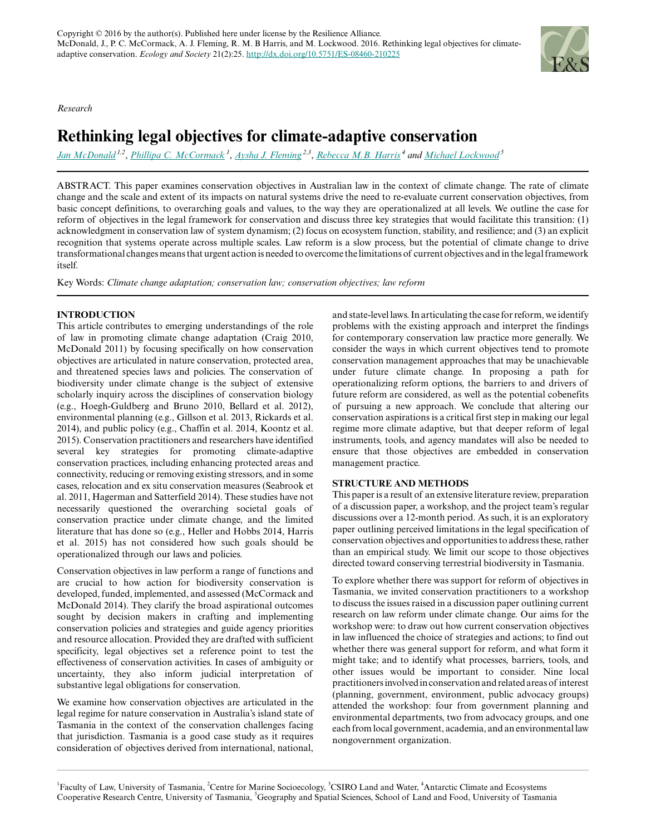*Research*

# **Rethinking legal objectives for climate-adaptive conservation**

*[Jan McDonald](mailto:jan.mcdonald@utas.edu.au) 1,2* , *[Phillipa C. McCormack](mailto:phillipa.mccormack@utas.edu.au)<sup>1</sup>* , *[Aysha J. Fleming](mailto:aysha.fleming@csiro.au) 2,3* , *[Rebecca M.B. Harris](mailto:r.m.b.harris@utas.edu.au)<sup>4</sup> and [Michael Lockwood](mailto:Michael.Lockwood@utas.edu.au)<sup>5</sup>*

ABSTRACT. This paper examines conservation objectives in Australian law in the context of climate change. The rate of climate change and the scale and extent of its impacts on natural systems drive the need to re-evaluate current conservation objectives, from basic concept definitions, to overarching goals and values, to the way they are operationalized at all levels. We outline the case for reform of objectives in the legal framework for conservation and discuss three key strategies that would facilitate this transition: (1) acknowledgment in conservation law of system dynamism; (2) focus on ecosystem function, stability, and resilience; and (3) an explicit recognition that systems operate across multiple scales. Law reform is a slow process, but the potential of climate change to drive transformational changes means that urgent action is needed to overcome the limitations of current objectives and in the legal framework itself.

Key Words: *Climate change adaptation; conservation law; conservation objectives; law reform*

## **INTRODUCTION**

This article contributes to emerging understandings of the role of law in promoting climate change adaptation (Craig 2010, McDonald 2011) by focusing specifically on how conservation objectives are articulated in nature conservation, protected area, and threatened species laws and policies. The conservation of biodiversity under climate change is the subject of extensive scholarly inquiry across the disciplines of conservation biology (e.g., Hoegh-Guldberg and Bruno 2010, Bellard et al. 2012), environmental planning (e.g., Gillson et al. 2013, Rickards et al. 2014), and public policy (e.g., Chaffin et al. 2014, Koontz et al. 2015). Conservation practitioners and researchers have identified several key strategies for promoting climate-adaptive conservation practices, including enhancing protected areas and connectivity, reducing or removing existing stressors, and in some cases, relocation and ex situ conservation measures (Seabrook et al. 2011, Hagerman and Satterfield 2014). These studies have not necessarily questioned the overarching societal goals of conservation practice under climate change, and the limited literature that has done so (e.g., Heller and Hobbs 2014, Harris et al. 2015) has not considered how such goals should be operationalized through our laws and policies.

Conservation objectives in law perform a range of functions and are crucial to how action for biodiversity conservation is developed, funded, implemented, and assessed (McCormack and McDonald 2014). They clarify the broad aspirational outcomes sought by decision makers in crafting and implementing conservation policies and strategies and guide agency priorities and resource allocation. Provided they are drafted with sufficient specificity, legal objectives set a reference point to test the effectiveness of conservation activities. In cases of ambiguity or uncertainty, they also inform judicial interpretation of substantive legal obligations for conservation.

We examine how conservation objectives are articulated in the legal regime for nature conservation in Australia's island state of Tasmania in the context of the conservation challenges facing that jurisdiction. Tasmania is a good case study as it requires consideration of objectives derived from international, national,

and state-level laws. In articulating the case for reform, we identify problems with the existing approach and interpret the findings for contemporary conservation law practice more generally. We consider the ways in which current objectives tend to promote conservation management approaches that may be unachievable under future climate change. In proposing a path for operationalizing reform options, the barriers to and drivers of future reform are considered, as well as the potential cobenefits of pursuing a new approach. We conclude that altering our conservation aspirations is a critical first step in making our legal regime more climate adaptive, but that deeper reform of legal instruments, tools, and agency mandates will also be needed to ensure that those objectives are embedded in conservation management practice.

## **STRUCTURE AND METHODS**

This paper is a result of an extensive literature review, preparation of a discussion paper, a workshop, and the project team's regular discussions over a 12-month period. As such, it is an exploratory paper outlining perceived limitations in the legal specification of conservation objectives and opportunities to address these, rather than an empirical study. We limit our scope to those objectives directed toward conserving terrestrial biodiversity in Tasmania.

To explore whether there was support for reform of objectives in Tasmania, we invited conservation practitioners to a workshop to discuss the issues raised in a discussion paper outlining current research on law reform under climate change. Our aims for the workshop were: to draw out how current conservation objectives in law influenced the choice of strategies and actions; to find out whether there was general support for reform, and what form it might take; and to identify what processes, barriers, tools, and other issues would be important to consider. Nine local practitioners involved in conservation and related areas of interest (planning, government, environment, public advocacy groups) attended the workshop: four from government planning and environmental departments, two from advocacy groups, and one each from local government, academia, and an environmental law nongovernment organization.



<sup>&</sup>lt;sup>1</sup>Faculty of Law, University of Tasmania, <sup>2</sup>Centre for Marine Socioecology, <sup>3</sup>CSIRO Land and Water, <sup>4</sup>Antarctic Climate and Ecosystems Cooperative Research Centre, University of Tasmania, <sup>5</sup>Geography and Spatial Sciences, School of Land and Food, University of Tasmania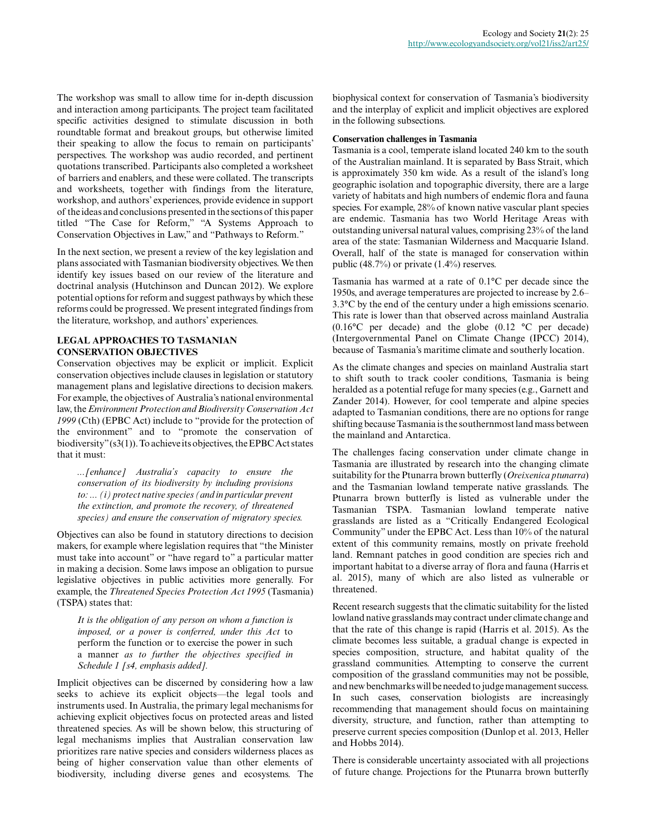The workshop was small to allow time for in-depth discussion and interaction among participants. The project team facilitated specific activities designed to stimulate discussion in both roundtable format and breakout groups, but otherwise limited their speaking to allow the focus to remain on participants' perspectives. The workshop was audio recorded, and pertinent quotations transcribed. Participants also completed a worksheet of barriers and enablers, and these were collated. The transcripts and worksheets, together with findings from the literature, workshop, and authors' experiences, provide evidence in support of the ideas and conclusions presented in the sections of this paper titled "The Case for Reform," "A Systems Approach to Conservation Objectives in Law," and "Pathways to Reform."

In the next section, we present a review of the key legislation and plans associated with Tasmanian biodiversity objectives. We then identify key issues based on our review of the literature and doctrinal analysis (Hutchinson and Duncan 2012). We explore potential options for reform and suggest pathways by which these reforms could be progressed. We present integrated findings from the literature, workshop, and authors' experiences.

## **LEGAL APPROACHES TO TASMANIAN CONSERVATION OBJECTIVES**

Conservation objectives may be explicit or implicit. Explicit conservation objectives include clauses in legislation or statutory management plans and legislative directions to decision makers. For example, the objectives of Australia's national environmental law, the *Environment Protection and Biodiversity Conservation Act 1999* (Cth) (EPBC Act) include to "provide for the protection of the environment" and to "promote the conservation of biodiversity" (s3(1)). To achieve its objectives, the EPBC Act states that it must:

*...[enhance] Australia's capacity to ensure the conservation of its biodiversity by including provisions to: ... (i) protect native species (and in particular prevent the extinction, and promote the recovery, of threatened species) and ensure the conservation of migratory species.*

Objectives can also be found in statutory directions to decision makers, for example where legislation requires that "the Minister must take into account" or "have regard to" a particular matter in making a decision. Some laws impose an obligation to pursue legislative objectives in public activities more generally. For example, the *Threatened Species Protection Act 1995* (Tasmania) (TSPA) states that:

*It is the obligation of any person on whom a function is imposed, or a power is conferred, under this Act* to perform the function or to exercise the power in such a manner *as to further the objectives specified in Schedule 1 [s4, emphasis added].*

Implicit objectives can be discerned by considering how a law seeks to achieve its explicit objects—the legal tools and instruments used. In Australia, the primary legal mechanisms for achieving explicit objectives focus on protected areas and listed threatened species. As will be shown below, this structuring of legal mechanisms implies that Australian conservation law prioritizes rare native species and considers wilderness places as being of higher conservation value than other elements of biodiversity, including diverse genes and ecosystems. The

biophysical context for conservation of Tasmania's biodiversity and the interplay of explicit and implicit objectives are explored in the following subsections.

## **Conservation challenges in Tasmania**

Tasmania is a cool, temperate island located 240 km to the south of the Australian mainland. It is separated by Bass Strait, which is approximately 350 km wide. As a result of the island's long geographic isolation and topographic diversity, there are a large variety of habitats and high numbers of endemic flora and fauna species. For example, 28% of known native vascular plant species are endemic. Tasmania has two World Heritage Areas with outstanding universal natural values, comprising 23% of the land area of the state: Tasmanian Wilderness and Macquarie Island. Overall, half of the state is managed for conservation within public (48.7%) or private (1.4%) reserves.

Tasmania has warmed at a rate of 0.1°C per decade since the 1950s, and average temperatures are projected to increase by 2.6– 3.3°C by the end of the century under a high emissions scenario. This rate is lower than that observed across mainland Australia (0.16°C per decade) and the globe (0.12 °C per decade) (Intergovernmental Panel on Climate Change (IPCC) 2014), because of Tasmania's maritime climate and southerly location.

As the climate changes and species on mainland Australia start to shift south to track cooler conditions, Tasmania is being heralded as a potential refuge for many species (e.g., Garnett and Zander 2014). However, for cool temperate and alpine species adapted to Tasmanian conditions, there are no options for range shifting because Tasmania is the southernmost land mass between the mainland and Antarctica.

The challenges facing conservation under climate change in Tasmania are illustrated by research into the changing climate suitability for the Ptunarra brown butterfly (*Oreixenica ptunarra*) and the Tasmanian lowland temperate native grasslands. The Ptunarra brown butterfly is listed as vulnerable under the Tasmanian TSPA. Tasmanian lowland temperate native grasslands are listed as a "Critically Endangered Ecological Community" under the EPBC Act. Less than 10% of the natural extent of this community remains, mostly on private freehold land. Remnant patches in good condition are species rich and important habitat to a diverse array of flora and fauna (Harris et al. 2015), many of which are also listed as vulnerable or threatened.

Recent research suggests that the climatic suitability for the listed lowland native grasslands may contract under climate change and that the rate of this change is rapid (Harris et al. 2015). As the climate becomes less suitable, a gradual change is expected in species composition, structure, and habitat quality of the grassland communities. Attempting to conserve the current composition of the grassland communities may not be possible, and new benchmarks will be needed to judge management success. In such cases, conservation biologists are increasingly recommending that management should focus on maintaining diversity, structure, and function, rather than attempting to preserve current species composition (Dunlop et al. 2013, Heller and Hobbs 2014).

There is considerable uncertainty associated with all projections of future change. Projections for the Ptunarra brown butterfly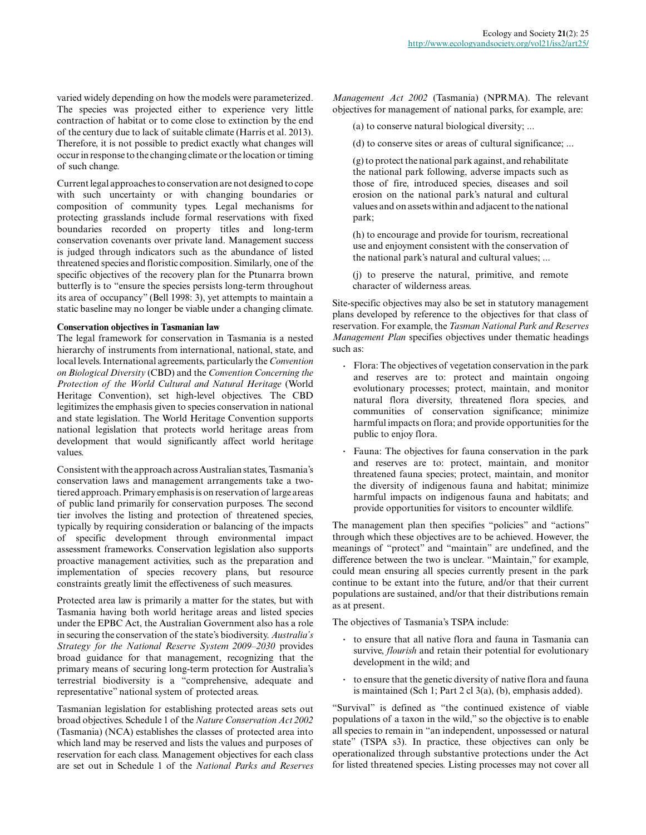varied widely depending on how the models were parameterized. The species was projected either to experience very little contraction of habitat or to come close to extinction by the end of the century due to lack of suitable climate (Harris et al. 2013). Therefore, it is not possible to predict exactly what changes will occur in response to the changing climate or the location or timing of such change.

Current legal approaches to conservation are not designed to cope with such uncertainty or with changing boundaries or composition of community types. Legal mechanisms for protecting grasslands include formal reservations with fixed boundaries recorded on property titles and long-term conservation covenants over private land. Management success is judged through indicators such as the abundance of listed threatened species and floristic composition. Similarly, one of the specific objectives of the recovery plan for the Ptunarra brown butterfly is to "ensure the species persists long-term throughout its area of occupancy" (Bell 1998: 3), yet attempts to maintain a static baseline may no longer be viable under a changing climate.

#### **Conservation objectives in Tasmanian law**

The legal framework for conservation in Tasmania is a nested hierarchy of instruments from international, national, state, and local levels. International agreements, particularly the *Convention on Biological Diversity* (CBD) and the *Convention Concerning the Protection of the World Cultural and Natural Heritage* (World Heritage Convention), set high-level objectives. The CBD legitimizes the emphasis given to species conservation in national and state legislation. The World Heritage Convention supports national legislation that protects world heritage areas from development that would significantly affect world heritage values.

Consistent with the approach across Australian states, Tasmania's conservation laws and management arrangements take a twotiered approach. Primary emphasis is on reservation of large areas of public land primarily for conservation purposes. The second tier involves the listing and protection of threatened species, typically by requiring consideration or balancing of the impacts of specific development through environmental impact assessment frameworks. Conservation legislation also supports proactive management activities, such as the preparation and implementation of species recovery plans, but resource constraints greatly limit the effectiveness of such measures.

Protected area law is primarily a matter for the states, but with Tasmania having both world heritage areas and listed species under the EPBC Act, the Australian Government also has a role in securing the conservation of the state's biodiversity. *Australia's Strategy for the National Reserve System 2009–2030* provides broad guidance for that management, recognizing that the primary means of securing long-term protection for Australia's terrestrial biodiversity is a "comprehensive, adequate and representative" national system of protected areas.

Tasmanian legislation for establishing protected areas sets out broad objectives. Schedule 1 of the *Nature Conservation Act 2002* (Tasmania) (NCA) establishes the classes of protected area into which land may be reserved and lists the values and purposes of reservation for each class. Management objectives for each class are set out in Schedule 1 of the *National Parks and Reserves*

*Management Act 2002* (Tasmania) (NPRMA). The relevant objectives for management of national parks, for example, are:

(a) to conserve natural biological diversity; ...

(d) to conserve sites or areas of cultural significance; ...

(g) to protect the national park against, and rehabilitate the national park following, adverse impacts such as those of fire, introduced species, diseases and soil erosion on the national park's natural and cultural values and on assets within and adjacent to the national park;

(h) to encourage and provide for tourism, recreational use and enjoyment consistent with the conservation of the national park's natural and cultural values; ...

(j) to preserve the natural, primitive, and remote character of wilderness areas.

Site-specific objectives may also be set in statutory management plans developed by reference to the objectives for that class of reservation. For example, the *Tasman National Park and Reserves Management Plan* specifies objectives under thematic headings such as:

- **.** Flora: The objectives of vegetation conservation in the park and reserves are to: protect and maintain ongoing evolutionary processes; protect, maintain, and monitor natural flora diversity, threatened flora species, and communities of conservation significance; minimize harmful impacts on flora; and provide opportunities for the public to enjoy flora.
- **.** Fauna: The objectives for fauna conservation in the park and reserves are to: protect, maintain, and monitor threatened fauna species; protect, maintain, and monitor the diversity of indigenous fauna and habitat; minimize harmful impacts on indigenous fauna and habitats; and provide opportunities for visitors to encounter wildlife.

The management plan then specifies "policies" and "actions" through which these objectives are to be achieved. However, the meanings of "protect" and "maintain" are undefined, and the difference between the two is unclear. "Maintain," for example, could mean ensuring all species currently present in the park continue to be extant into the future, and/or that their current populations are sustained, and/or that their distributions remain as at present.

The objectives of Tasmania's TSPA include:

- **.** to ensure that all native flora and fauna in Tasmania can survive, *flourish* and retain their potential for evolutionary development in the wild; and
- **.** to ensure that the genetic diversity of native flora and fauna is maintained (Sch 1; Part 2 cl 3(a), (b), emphasis added).

"Survival" is defined as "the continued existence of viable populations of a taxon in the wild," so the objective is to enable all species to remain in "an independent, unpossessed or natural state" (TSPA s3). In practice, these objectives can only be operationalized through substantive protections under the Act for listed threatened species. Listing processes may not cover all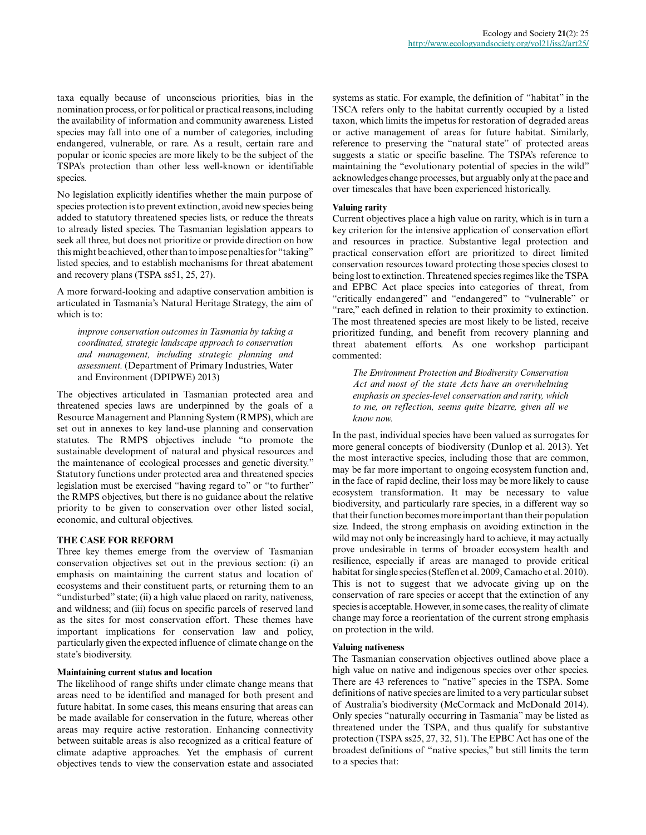taxa equally because of unconscious priorities, bias in the nomination process, or for political or practical reasons, including the availability of information and community awareness. Listed species may fall into one of a number of categories, including endangered, vulnerable, or rare. As a result, certain rare and popular or iconic species are more likely to be the subject of the TSPA's protection than other less well-known or identifiable species.

No legislation explicitly identifies whether the main purpose of species protection is to prevent extinction, avoid new species being added to statutory threatened species lists, or reduce the threats to already listed species. The Tasmanian legislation appears to seek all three, but does not prioritize or provide direction on how this might be achieved, other than to impose penalties for "taking" listed species, and to establish mechanisms for threat abatement and recovery plans (TSPA ss51, 25, 27).

A more forward-looking and adaptive conservation ambition is articulated in Tasmania's Natural Heritage Strategy, the aim of which is to:

*improve conservation outcomes in Tasmania by taking a coordinated, strategic landscape approach to conservation and management, including strategic planning and assessment.* (Department of Primary Industries, Water and Environment (DPIPWE) 2013)

The objectives articulated in Tasmanian protected area and threatened species laws are underpinned by the goals of a Resource Management and Planning System (RMPS), which are set out in annexes to key land-use planning and conservation statutes. The RMPS objectives include "to promote the sustainable development of natural and physical resources and the maintenance of ecological processes and genetic diversity." Statutory functions under protected area and threatened species legislation must be exercised "having regard to" or "to further" the RMPS objectives, but there is no guidance about the relative priority to be given to conservation over other listed social, economic, and cultural objectives.

## **THE CASE FOR REFORM**

Three key themes emerge from the overview of Tasmanian conservation objectives set out in the previous section: (i) an emphasis on maintaining the current status and location of ecosystems and their constituent parts, or returning them to an "undisturbed" state; (ii) a high value placed on rarity, nativeness, and wildness; and (iii) focus on specific parcels of reserved land as the sites for most conservation effort. These themes have important implications for conservation law and policy, particularly given the expected influence of climate change on the state's biodiversity.

## **Maintaining current status and location**

The likelihood of range shifts under climate change means that areas need to be identified and managed for both present and future habitat. In some cases, this means ensuring that areas can be made available for conservation in the future, whereas other areas may require active restoration. Enhancing connectivity between suitable areas is also recognized as a critical feature of climate adaptive approaches. Yet the emphasis of current objectives tends to view the conservation estate and associated systems as static. For example, the definition of "habitat" in the TSCA refers only to the habitat currently occupied by a listed taxon, which limits the impetus for restoration of degraded areas or active management of areas for future habitat. Similarly, reference to preserving the "natural state" of protected areas suggests a static or specific baseline. The TSPA's reference to maintaining the "evolutionary potential of species in the wild" acknowledges change processes, but arguably only at the pace and over timescales that have been experienced historically.

#### **Valuing rarity**

Current objectives place a high value on rarity, which is in turn a key criterion for the intensive application of conservation effort and resources in practice. Substantive legal protection and practical conservation effort are prioritized to direct limited conservation resources toward protecting those species closest to being lost to extinction. Threatened species regimes like the TSPA and EPBC Act place species into categories of threat, from "critically endangered" and "endangered" to "vulnerable" or "rare," each defined in relation to their proximity to extinction. The most threatened species are most likely to be listed, receive prioritized funding, and benefit from recovery planning and threat abatement efforts. As one workshop participant commented:

*The Environment Protection and Biodiversity Conservation Act and most of the state Acts have an overwhelming emphasis on species-level conservation and rarity, which to me, on reflection, seems quite bizarre, given all we know now.*

In the past, individual species have been valued as surrogates for more general concepts of biodiversity (Dunlop et al. 2013). Yet the most interactive species, including those that are common, may be far more important to ongoing ecosystem function and, in the face of rapid decline, their loss may be more likely to cause ecosystem transformation. It may be necessary to value biodiversity, and particularly rare species, in a different way so that their function becomes more important than their population size. Indeed, the strong emphasis on avoiding extinction in the wild may not only be increasingly hard to achieve, it may actually prove undesirable in terms of broader ecosystem health and resilience, especially if areas are managed to provide critical habitat for single species (Steffen et al. 2009, Camacho et al. 2010). This is not to suggest that we advocate giving up on the conservation of rare species or accept that the extinction of any species is acceptable. However, in some cases, the reality of climate change may force a reorientation of the current strong emphasis on protection in the wild.

#### **Valuing nativeness**

The Tasmanian conservation objectives outlined above place a high value on native and indigenous species over other species. There are 43 references to "native" species in the TSPA. Some definitions of native species are limited to a very particular subset of Australia's biodiversity (McCormack and McDonald 2014). Only species "naturally occurring in Tasmania" may be listed as threatened under the TSPA, and thus qualify for substantive protection (TSPA ss25, 27, 32, 51). The EPBC Act has one of the broadest definitions of "native species," but still limits the term to a species that: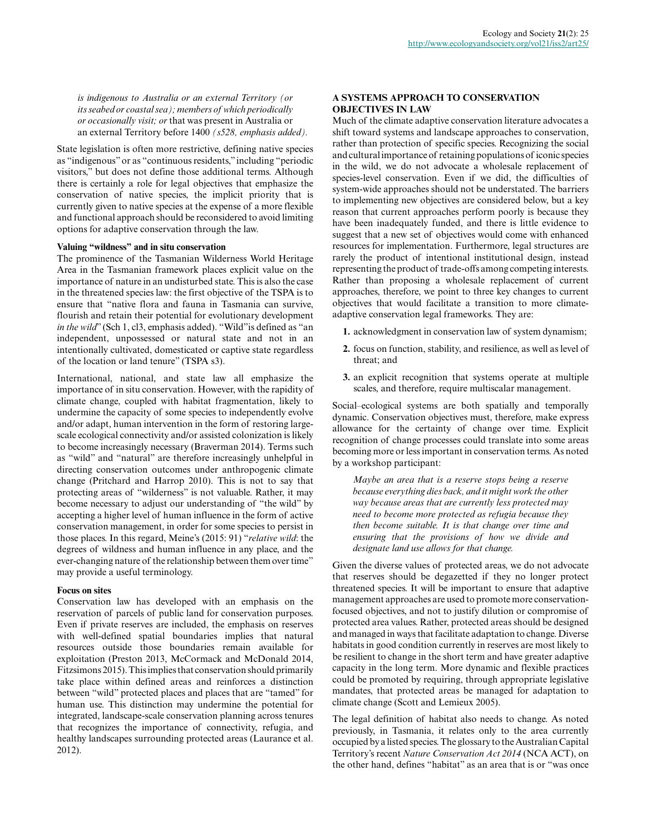*is indigenous to Australia or an external Territory (or its seabed or coastal sea); members of which periodically or occasionally visit; or* that was present in Australia or an external Territory before 1400 *(s528, emphasis added).*

State legislation is often more restrictive, defining native species as "indigenous" or as "continuous residents," including "periodic visitors," but does not define those additional terms. Although there is certainly a role for legal objectives that emphasize the conservation of native species, the implicit priority that is currently given to native species at the expense of a more flexible and functional approach should be reconsidered to avoid limiting options for adaptive conservation through the law.

#### **Valuing "wildness" and in situ conservation**

The prominence of the Tasmanian Wilderness World Heritage Area in the Tasmanian framework places explicit value on the importance of nature in an undisturbed state. This is also the case in the threatened species law: the first objective of the TSPA is to ensure that "native flora and fauna in Tasmania can survive, flourish and retain their potential for evolutionary development *in the wild*" (Sch 1, cl3, emphasis added). "Wild"is defined as "an independent, unpossessed or natural state and not in an intentionally cultivated, domesticated or captive state regardless of the location or land tenure" (TSPA s3).

International, national, and state law all emphasize the importance of in situ conservation. However, with the rapidity of climate change, coupled with habitat fragmentation, likely to undermine the capacity of some species to independently evolve and/or adapt, human intervention in the form of restoring largescale ecological connectivity and/or assisted colonization is likely to become increasingly necessary (Braverman 2014). Terms such as "wild" and "natural" are therefore increasingly unhelpful in directing conservation outcomes under anthropogenic climate change (Pritchard and Harrop 2010). This is not to say that protecting areas of "wilderness" is not valuable. Rather, it may become necessary to adjust our understanding of "the wild" by accepting a higher level of human influence in the form of active conservation management, in order for some species to persist in those places. In this regard, Meine's (2015: 91) "*relative wild*: the degrees of wildness and human influence in any place, and the ever-changing nature of the relationship between them over time" may provide a useful terminology.

#### **Focus on sites**

Conservation law has developed with an emphasis on the reservation of parcels of public land for conservation purposes. Even if private reserves are included, the emphasis on reserves with well-defined spatial boundaries implies that natural resources outside those boundaries remain available for exploitation (Preston 2013, McCormack and McDonald 2014, Fitzsimons 2015). This implies that conservation should primarily take place within defined areas and reinforces a distinction between "wild" protected places and places that are "tamed" for human use. This distinction may undermine the potential for integrated, landscape-scale conservation planning across tenures that recognizes the importance of connectivity, refugia, and healthy landscapes surrounding protected areas (Laurance et al. 2012).

## **A SYSTEMS APPROACH TO CONSERVATION OBJECTIVES IN LAW**

Much of the climate adaptive conservation literature advocates a shift toward systems and landscape approaches to conservation, rather than protection of specific species. Recognizing the social and cultural importance of retaining populations of iconic species in the wild, we do not advocate a wholesale replacement of species-level conservation. Even if we did, the difficulties of system-wide approaches should not be understated. The barriers to implementing new objectives are considered below, but a key reason that current approaches perform poorly is because they have been inadequately funded, and there is little evidence to suggest that a new set of objectives would come with enhanced resources for implementation. Furthermore, legal structures are rarely the product of intentional institutional design, instead representing the product of trade-offs among competing interests. Rather than proposing a wholesale replacement of current approaches, therefore, we point to three key changes to current objectives that would facilitate a transition to more climateadaptive conservation legal frameworks. They are:

- **1.** acknowledgment in conservation law of system dynamism;
- **2.** focus on function, stability, and resilience, as well as level of threat; and
- **3.** an explicit recognition that systems operate at multiple scales, and therefore, require multiscalar management.

Social–ecological systems are both spatially and temporally dynamic. Conservation objectives must, therefore, make express allowance for the certainty of change over time. Explicit recognition of change processes could translate into some areas becoming more or less important in conservation terms. As noted by a workshop participant:

*Maybe an area that is a reserve stops being a reserve because everything dies back, and it might work the other way because areas that are currently less protected may need to become more protected as refugia because they then become suitable. It is that change over time and ensuring that the provisions of how we divide and designate land use allows for that change.*

Given the diverse values of protected areas, we do not advocate that reserves should be degazetted if they no longer protect threatened species. It will be important to ensure that adaptive management approaches are used to promote more conservationfocused objectives, and not to justify dilution or compromise of protected area values. Rather, protected areas should be designed and managed in ways that facilitate adaptation to change. Diverse habitats in good condition currently in reserves are most likely to be resilient to change in the short term and have greater adaptive capacity in the long term. More dynamic and flexible practices could be promoted by requiring, through appropriate legislative mandates, that protected areas be managed for adaptation to climate change (Scott and Lemieux 2005).

The legal definition of habitat also needs to change. As noted previously, in Tasmania, it relates only to the area currently occupied by a listed species. The glossary to the Australian Capital Territory's recent *Nature Conservation Act 2014* (NCA ACT), on the other hand, defines "habitat" as an area that is or "was once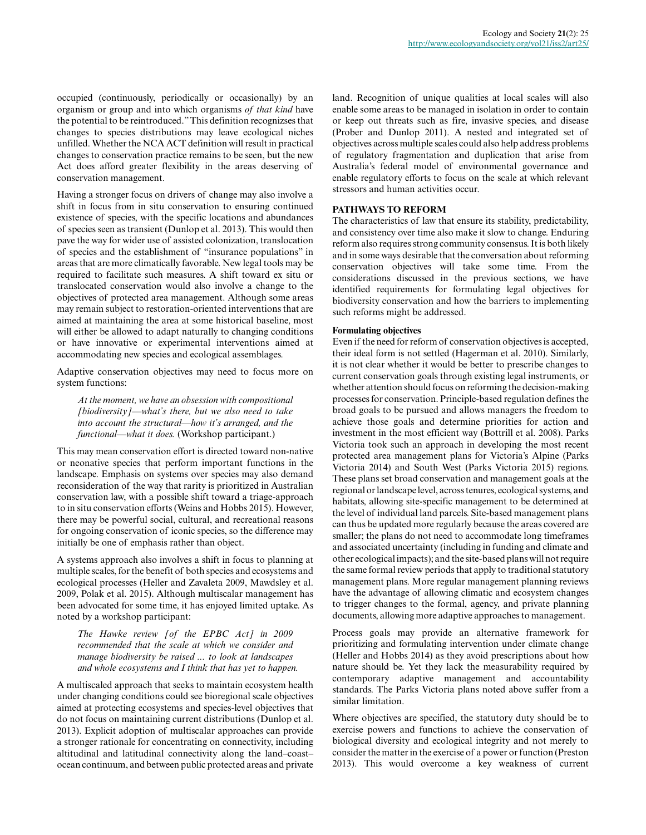occupied (continuously, periodically or occasionally) by an organism or group and into which organisms *of that kind* have the potential to be reintroduced." This definition recognizses that changes to species distributions may leave ecological niches unfilled. Whether the NCA ACT definition will result in practical changes to conservation practice remains to be seen, but the new Act does afford greater flexibility in the areas deserving of conservation management.

Having a stronger focus on drivers of change may also involve a shift in focus from in situ conservation to ensuring continued existence of species, with the specific locations and abundances of species seen as transient (Dunlop et al. 2013). This would then pave the way for wider use of assisted colonization, translocation of species and the establishment of "insurance populations" in areas that are more climatically favorable. New legal tools may be required to facilitate such measures. A shift toward ex situ or translocated conservation would also involve a change to the objectives of protected area management. Although some areas may remain subject to restoration-oriented interventions that are aimed at maintaining the area at some historical baseline, most will either be allowed to adapt naturally to changing conditions or have innovative or experimental interventions aimed at accommodating new species and ecological assemblages.

Adaptive conservation objectives may need to focus more on system functions:

*At the moment, we have an obsession with compositional [biodiversity]—what's there, but we also need to take into account the structural—how it's arranged, and the functional—what it does.* (Workshop participant.)

This may mean conservation effort is directed toward non-native or neonative species that perform important functions in the landscape. Emphasis on systems over species may also demand reconsideration of the way that rarity is prioritized in Australian conservation law, with a possible shift toward a triage-approach to in situ conservation efforts (Weins and Hobbs 2015). However, there may be powerful social, cultural, and recreational reasons for ongoing conservation of iconic species, so the difference may initially be one of emphasis rather than object.

A systems approach also involves a shift in focus to planning at multiple scales, for the benefit of both species and ecosystems and ecological processes (Heller and Zavaleta 2009, Mawdsley et al. 2009, Polak et al. 2015). Although multiscalar management has been advocated for some time, it has enjoyed limited uptake. As noted by a workshop participant:

*The Hawke review [of the EPBC Act] in 2009 recommended that the scale at which we consider and manage biodiversity be raised ... to look at landscapes and whole ecosystems and I think that has yet to happen.*

A multiscaled approach that seeks to maintain ecosystem health under changing conditions could see bioregional scale objectives aimed at protecting ecosystems and species-level objectives that do not focus on maintaining current distributions (Dunlop et al. 2013). Explicit adoption of multiscalar approaches can provide a stronger rationale for concentrating on connectivity, including altitudinal and latitudinal connectivity along the land–coast– ocean continuum, and between public protected areas and private

land. Recognition of unique qualities at local scales will also enable some areas to be managed in isolation in order to contain or keep out threats such as fire, invasive species, and disease (Prober and Dunlop 2011). A nested and integrated set of objectives across multiple scales could also help address problems of regulatory fragmentation and duplication that arise from Australia's federal model of environmental governance and enable regulatory efforts to focus on the scale at which relevant stressors and human activities occur.

## **PATHWAYS TO REFORM**

The characteristics of law that ensure its stability, predictability, and consistency over time also make it slow to change. Enduring reform also requires strong community consensus. It is both likely and in some ways desirable that the conversation about reforming conservation objectives will take some time. From the considerations discussed in the previous sections, we have identified requirements for formulating legal objectives for biodiversity conservation and how the barriers to implementing such reforms might be addressed.

#### **Formulating objectives**

Even if the need for reform of conservation objectives is accepted, their ideal form is not settled (Hagerman et al. 2010). Similarly, it is not clear whether it would be better to prescribe changes to current conservation goals through existing legal instruments, or whether attention should focus on reforming the decision-making processes for conservation. Principle-based regulation defines the broad goals to be pursued and allows managers the freedom to achieve those goals and determine priorities for action and investment in the most efficient way (Bottrill et al. 2008). Parks Victoria took such an approach in developing the most recent protected area management plans for Victoria's Alpine (Parks Victoria 2014) and South West (Parks Victoria 2015) regions. These plans set broad conservation and management goals at the regional or landscape level, across tenures, ecological systems, and habitats, allowing site-specific management to be determined at the level of individual land parcels. Site-based management plans can thus be updated more regularly because the areas covered are smaller; the plans do not need to accommodate long timeframes and associated uncertainty (including in funding and climate and other ecological impacts); and the site-based plans will not require the same formal review periods that apply to traditional statutory management plans. More regular management planning reviews have the advantage of allowing climatic and ecosystem changes to trigger changes to the formal, agency, and private planning documents, allowing more adaptive approaches to management.

Process goals may provide an alternative framework for prioritizing and formulating intervention under climate change (Heller and Hobbs 2014) as they avoid prescriptions about how nature should be. Yet they lack the measurability required by contemporary adaptive management and accountability standards. The Parks Victoria plans noted above suffer from a similar limitation.

Where objectives are specified, the statutory duty should be to exercise powers and functions to achieve the conservation of biological diversity and ecological integrity and not merely to consider the matter in the exercise of a power or function (Preston 2013). This would overcome a key weakness of current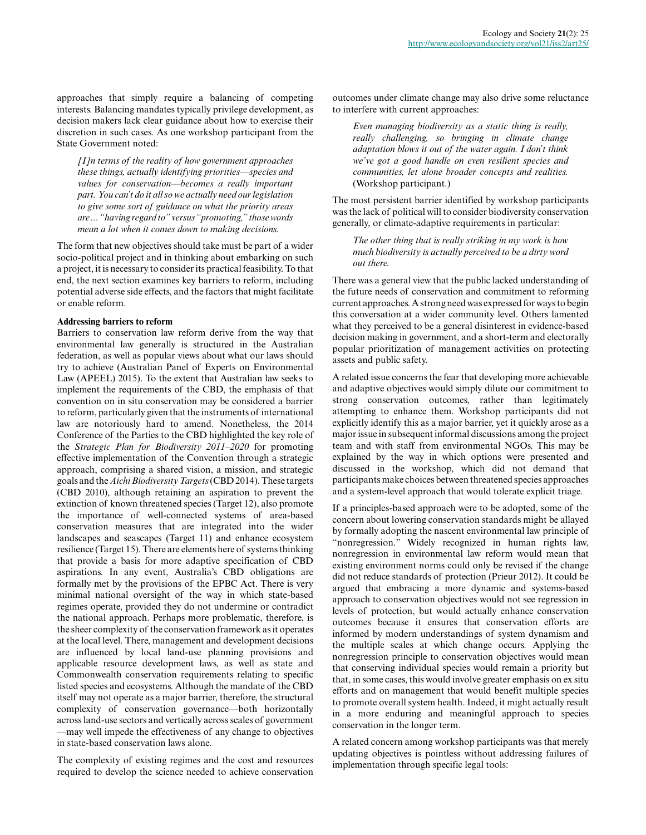approaches that simply require a balancing of competing interests. Balancing mandates typically privilege development, as decision makers lack clear guidance about how to exercise their discretion in such cases. As one workshop participant from the State Government noted:

*[I]n terms of the reality of how government approaches these things, actually identifying priorities—species and values for conservation—becomes a really important part. You can't do it all so we actually need our legislation to give some sort of guidance on what the priority areas are ... "having regard to" versus "promoting," those words mean a lot when it comes down to making decisions.*

The form that new objectives should take must be part of a wider socio-political project and in thinking about embarking on such a project, it is necessary to consider its practical feasibility. To that end, the next section examines key barriers to reform, including potential adverse side effects, and the factors that might facilitate or enable reform.

#### **Addressing barriers to reform**

Barriers to conservation law reform derive from the way that environmental law generally is structured in the Australian federation, as well as popular views about what our laws should try to achieve (Australian Panel of Experts on Environmental Law (APEEL) 2015). To the extent that Australian law seeks to implement the requirements of the CBD, the emphasis of that convention on in situ conservation may be considered a barrier to reform, particularly given that the instruments of international law are notoriously hard to amend. Nonetheless, the 2014 Conference of the Parties to the CBD highlighted the key role of the *Strategic Plan for Biodiversity 2011–2020* for promoting effective implementation of the Convention through a strategic approach, comprising a shared vision, a mission, and strategic goals and the *Aichi Biodiversity Targets* (CBD 2014). These targets (CBD 2010), although retaining an aspiration to prevent the extinction of known threatened species (Target 12), also promote the importance of well-connected systems of area-based conservation measures that are integrated into the wider landscapes and seascapes (Target 11) and enhance ecosystem resilience (Target 15). There are elements here of systems thinking that provide a basis for more adaptive specification of CBD aspirations. In any event, Australia's CBD obligations are formally met by the provisions of the EPBC Act. There is very minimal national oversight of the way in which state-based regimes operate, provided they do not undermine or contradict the national approach. Perhaps more problematic, therefore, is the sheer complexity of the conservation framework as it operates at the local level. There, management and development decisions are influenced by local land-use planning provisions and applicable resource development laws, as well as state and Commonwealth conservation requirements relating to specific listed species and ecosystems. Although the mandate of the CBD itself may not operate as a major barrier, therefore, the structural complexity of conservation governance—both horizontally across land-use sectors and vertically across scales of government —may well impede the effectiveness of any change to objectives in state-based conservation laws alone.

The complexity of existing regimes and the cost and resources required to develop the science needed to achieve conservation

outcomes under climate change may also drive some reluctance to interfere with current approaches:

*Even managing biodiversity as a static thing is really, really challenging, so bringing in climate change adaptation blows it out of the water again. I don't think we've got a good handle on even resilient species and communities, let alone broader concepts and realities.* (Workshop participant.)

The most persistent barrier identified by workshop participants was the lack of political will to consider biodiversity conservation generally, or climate-adaptive requirements in particular:

*The other thing that is really striking in my work is how much biodiversity is actually perceived to be a dirty word out there.*

There was a general view that the public lacked understanding of the future needs of conservation and commitment to reforming current approaches. A strong need was expressed for ways to begin this conversation at a wider community level. Others lamented what they perceived to be a general disinterest in evidence-based decision making in government, and a short-term and electorally popular prioritization of management activities on protecting assets and public safety.

A related issue concerns the fear that developing more achievable and adaptive objectives would simply dilute our commitment to strong conservation outcomes, rather than legitimately attempting to enhance them. Workshop participants did not explicitly identify this as a major barrier, yet it quickly arose as a major issue in subsequent informal discussions among the project team and with staff from environmental NGOs. This may be explained by the way in which options were presented and discussed in the workshop, which did not demand that participants make choices between threatened species approaches and a system-level approach that would tolerate explicit triage.

If a principles-based approach were to be adopted, some of the concern about lowering conservation standards might be allayed by formally adopting the nascent environmental law principle of "nonregression." Widely recognized in human rights law, nonregression in environmental law reform would mean that existing environment norms could only be revised if the change did not reduce standards of protection (Prieur 2012). It could be argued that embracing a more dynamic and systems-based approach to conservation objectives would not see regression in levels of protection, but would actually enhance conservation outcomes because it ensures that conservation efforts are informed by modern understandings of system dynamism and the multiple scales at which change occurs. Applying the nonregression principle to conservation objectives would mean that conserving individual species would remain a priority but that, in some cases, this would involve greater emphasis on ex situ efforts and on management that would benefit multiple species to promote overall system health. Indeed, it might actually result in a more enduring and meaningful approach to species conservation in the longer term.

A related concern among workshop participants was that merely updating objectives is pointless without addressing failures of implementation through specific legal tools: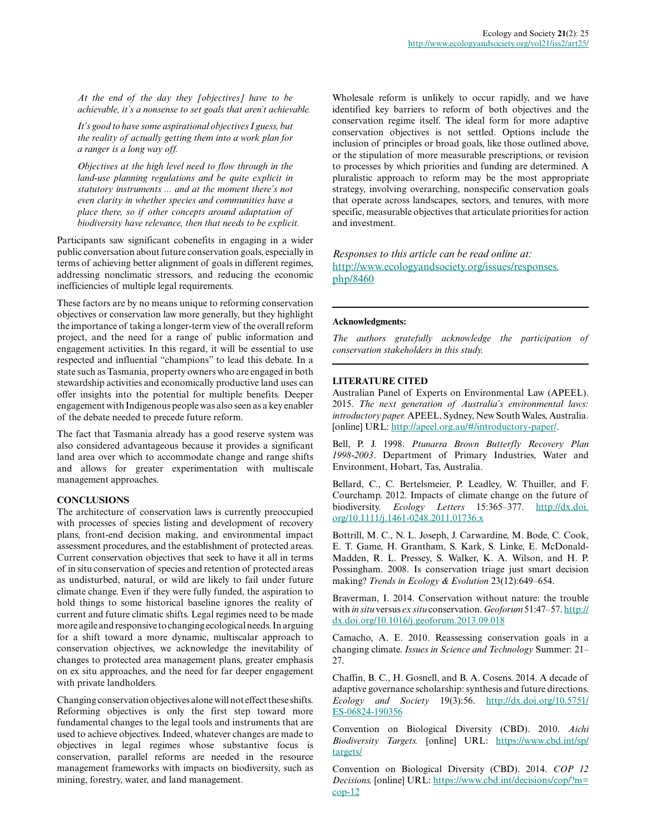*At the end of the day they [objectives] have to be achievable, it's a nonsense to set goals that aren't achievable.*

*It's good to have some aspirational objectives I guess, but the reality of actually getting them into a work plan for a ranger is a long way off.*

*Objectives at the high level need to flow through in the land-use planning regulations and be quite explicit in statutory instruments ... and at the moment there's not even clarity in whether species and communities have a place there, so if other concepts around adaptation of biodiversity have relevance, then that needs to be explicit.*

Participants saw significant cobenefits in engaging in a wider public conversation about future conservation goals, especially in terms of achieving better alignment of goals in different regimes, addressing nonclimatic stressors, and reducing the economic inefficiencies of multiple legal requirements.

These factors are by no means unique to reforming conservation objectives or conservation law more generally, but they highlight the importance of taking a longer-term view of the overall reform project, and the need for a range of public information and engagement activities. In this regard, it will be essential to use respected and influential "champions" to lead this debate. In a state such as Tasmania, property owners who are engaged in both stewardship activities and economically productive land uses can offer insights into the potential for multiple benefits. Deeper engagement with Indigenous people was also seen as a key enabler of the debate needed to precede future reform.

The fact that Tasmania already has a good reserve system was also considered advantageous because it provides a significant land area over which to accommodate change and range shifts and allows for greater experimentation with multiscale management approaches.

#### **CONCLUSIONS**

The architecture of conservation laws is currently preoccupied with processes of species listing and development of recovery plans, front-end decision making, and environmental impact assessment procedures, and the establishment of protected areas. Current conservation objectives that seek to have it all in terms of in situ conservation of species and retention of protected areas as undisturbed, natural, or wild are likely to fail under future climate change. Even if they were fully funded, the aspiration to hold things to some historical baseline ignores the reality of current and future climatic shifts. Legal regimes need to be made more agile and responsive to changing ecological needs. In arguing for a shift toward a more dynamic, multiscalar approach to conservation objectives, we acknowledge the inevitability of changes to protected area management plans, greater emphasis on ex situ approaches, and the need for far deeper engagement with private landholders.

Changing conservation objectives alone will not effect these shifts. Reforming objectives is only the first step toward more fundamental changes to the legal tools and instruments that are used to achieve objectives. Indeed, whatever changes are made to objectives in legal regimes whose substantive focus is conservation, parallel reforms are needed in the resource management frameworks with impacts on biodiversity, such as mining, forestry, water, and land management.

Wholesale reform is unlikely to occur rapidly, and we have identified key barriers to reform of both objectives and the conservation regime itself. The ideal form for more adaptive conservation objectives is not settled. Options include the inclusion of principles or broad goals, like those outlined above, or the stipulation of more measurable prescriptions, or revision to processes by which priorities and funding are determined. A pluralistic approach to reform may be the most appropriate strategy, involving overarching, nonspecific conservation goals that operate across landscapes, sectors, and tenures, with more specific, measurable objectives that articulate priorities for action and investment.

*Responses to this article can be read online at:* [http://www.ecologyandsociety.org/issues/responses.](http://www.ecologyandsociety.org/issues/responses.php/8460) [php/8460](http://www.ecologyandsociety.org/issues/responses.php/8460)

## **Acknowledgments:**

*The authors gratefully acknowledge the participation of conservation stakeholders in this study.*

#### **LITERATURE CITED**

Australian Panel of Experts on Environmental Law (APEEL). 2015. *The next generation of Australia's environmental laws: introductory paper.* APEEL, Sydney, New South Wales, Australia. [online] URL: [http://apeel.org.au/#/introductory-paper/.](http://apeel.org.au/#/introductory-paper/)

Bell, P. J. 1998. *Ptunarra Brown Butterfly Recovery Plan 1998-2003*. Department of Primary Industries, Water and Environment, Hobart, Tas, Australia.

Bellard, C., C. Bertelsmeier, P. Leadley, W. Thuiller, and F. Courchamp. 2012. Impacts of climate change on the future of biodiversity. *Ecology Letters* 15:365–377. [http://dx.doi.](http://dx.doi.org/10.1111%2Fj.1461-0248.2011.01736.x) [org/10.1111/j.1461-0248.2011.01736.x](http://dx.doi.org/10.1111%2Fj.1461-0248.2011.01736.x)

Bottrill, M. C., N. L. Joseph, J. Carwardine, M. Bode, C. Cook, E. T. Game, H. Grantham, S. Kark, S. Linke, E. McDonald-Madden, R. L. Pressey, S. Walker, K. A. Wilson, and H. P. Possingham. 2008. Is conservation triage just smart decision making? *Trends in Ecology & Evolution* 23(12):649–654.

Braverman, I. 2014. Conservation without nature: the trouble with *in situ* versus *ex situ* conservation. *Geoforum* 51:47–57. [http://](http://dx.doi.org/10.1016%2Fj.geoforum.2013.09.018) [dx.doi.org/10.1016/j.geoforum.2013.09.018](http://dx.doi.org/10.1016%2Fj.geoforum.2013.09.018)

Camacho, A. E. 2010. Reassessing conservation goals in a changing climate. *Issues in Science and Technology* Summer: 21– 27.

Chaffin, B. C., H. Gosnell, and B. A. Cosens. 2014. A decade of adaptive governance scholarship: synthesis and future directions. *Ecology and Society* 19(3):56. [http://dx.doi.org/10.5751/](http://dx.doi.org/10.5751%2FES-06824-190356) [ES-06824-190356](http://dx.doi.org/10.5751%2FES-06824-190356)

Convention on Biological Diversity (CBD). 2010. *Aichi Biodiversity Targets.* [online] URL: [https://www.cbd.int/sp/](https://www.cbd.int/sp/targets/.) [targets/](https://www.cbd.int/sp/targets/.)

Convention on Biological Diversity (CBD). 2014. *COP 12 Decisions,* [online] URL: [https://www.cbd.int/decisions/cop/?m=](https://www.cbd.int/decisions/cop/?m=cop-12.) [cop-12](https://www.cbd.int/decisions/cop/?m=cop-12.)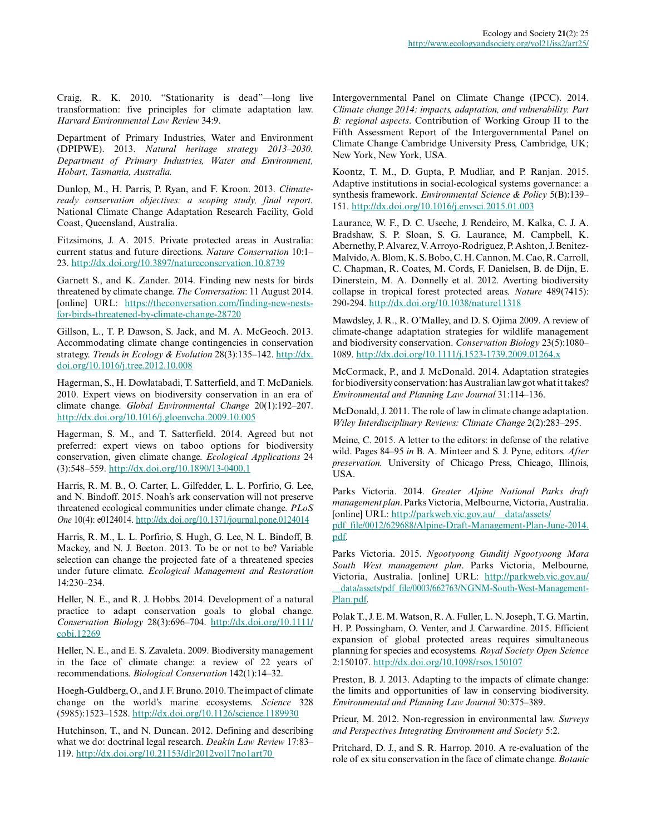Craig, R. K. 2010. "Stationarity is dead"—long live transformation: five principles for climate adaptation law. *Harvard Environmental Law Review* 34:9.

Department of Primary Industries, Water and Environment (DPIPWE). 2013. *Natural heritage strategy 2013–2030. Department of Primary Industries, Water and Environment, Hobart, Tasmania, Australia.*

Dunlop, M., H. Parris, P. Ryan, and F. Kroon. 2013. *Climateready conservation objectives: a scoping study, final report.* National Climate Change Adaptation Research Facility, Gold Coast, Queensland, Australia.

Fitzsimons, J. A. 2015. Private protected areas in Australia: current status and future directions. *Nature Conservation* 10:1– 23. <http://dx.doi.org/10.3897/natureconservation.10.8739>

Garnett S., and K. Zander. 2014. Finding new nests for birds threatened by climate change. *The Conversation*: 11 August 2014. [online] URL: [https://theconversation.com/finding-new-nests](https://theconversation.com/finding-new-nests-for-birds-threatened-by-climate-change-28720)[for-birds-threatened-by-climate-change-28720](https://theconversation.com/finding-new-nests-for-birds-threatened-by-climate-change-28720)

Gillson, L., T. P. Dawson, S. Jack, and M. A. McGeoch. 2013. Accommodating climate change contingencies in conservation strategy. *Trends in Ecology & Evolution* 28(3):135–142. [http://dx.](http://dx.doi.org/10.1016%2Fj.tree.2012.10.008) [doi.org/10.1016/j.tree.2012.10.008](http://dx.doi.org/10.1016%2Fj.tree.2012.10.008)

Hagerman, S., H. Dowlatabadi, T. Satterfield, and T. McDaniels. 2010. Expert views on biodiversity conservation in an era of climate change. *Global Environmental Change* 20(1):192–207. [http://dx.doi.org/10.1016/j.gloenvcha.2009.10.005](http://dx.doi.org/10.1016%2Fj.gloenvcha.2009.10.005)

Hagerman, S. M., and T. Satterfield. 2014. Agreed but not preferred: expert views on taboo options for biodiversity conservation, given climate change. *Ecological Applications* 24 (3):548–559. [http://dx.doi.org/10.1890/13-0400.1](http://dx.doi.org/10.1890%2F13-0400.1)

Harris, R. M. B., O. Carter, L. Gilfedder, L. L. Porfirio, G. Lee, and N. Bindoff. 2015. Noah's ark conservation will not preserve threatened ecological communities under climate change. *PLoS One* 10(4): e0124014. <http://dx.doi.org/10.1371/journal.pone.0124014>

Harris, R. M., L. L. Porfirio, S. Hugh, G. Lee, N. L. Bindoff, B. Mackey, and N. J. Beeton. 2013. To be or not to be? Variable selection can change the projected fate of a threatened species under future climate. *Ecological Management and Restoration* 14:230–234.

Heller, N. E., and R. J. Hobbs. 2014. Development of a natural practice to adapt conservation goals to global change. *Conservation Biology* 28(3):696–704. [http://dx.doi.org/10.1111/](http://dx.doi.org/10.1111%2Fcobi.12269) [cobi.12269](http://dx.doi.org/10.1111%2Fcobi.12269)

Heller, N. E., and E. S. Zavaleta. 2009. Biodiversity management in the face of climate change: a review of 22 years of recommendations. *Biological Conservation* 142(1):14–32.

Hoegh-Guldberg, O., and J. F. Bruno. 2010. The impact of climate change on the world's marine ecosystems. *Science* 328 (5985):1523–1528. [http://dx.doi.org/10.1126/science.1189930](http://dx.doi.org/10.1126%2Fscience.1189930)

Hutchinson, T., and N. Duncan. 2012. Defining and describing what we do: doctrinal legal research. *Deakin Law Review* 17:83– 119. [http://dx.doi.org/10.21153/dlr2012vol17no1art70](http://dx.doi.org/10.21153/dlr2012vol17no1art70 ) 

Intergovernmental Panel on Climate Change (IPCC). 2014. *Climate change 2014: impacts, adaptation, and vulnerability. Part B: regional aspects*. Contribution of Working Group II to the Fifth Assessment Report of the Intergovernmental Panel on Climate Change Cambridge University Press, Cambridge, UK; New York, New York, USA.

Koontz, T. M., D. Gupta, P. Mudliar, and P. Ranjan. 2015. Adaptive institutions in social-ecological systems governance: a synthesis framework. *Environmental Science & Policy* 5(B):139– 151. [http://dx.doi.org/10.1016/j.envsci.2015.01.003](http://dx.doi.org/10.1016%2Fj.envsci.2015.01.003)

Laurance, W. F., D. C. Useche, J. Rendeiro, M. Kalka, C. J. A. Bradshaw, S. P. Sloan, S. G. Laurance, M. Campbell, K. Abernethy, P. Alvarez, V. Arroyo-Rodriguez, P. Ashton, J. Benitez-Malvido, A. Blom, K. S. Bobo, C. H. Cannon, M. Cao, R. Carroll, C. Chapman, R. Coates, M. Cords, F. Danielsen, B. de Dijn, E. Dinerstein, M. A. Donnelly et al. 2012. Averting biodiversity collapse in tropical forest protected areas. *Nature* 489(7415): 290-294. [http://dx.doi.org/10.1038/nature11318](http://dx.doi.org/10.1038%2Fnature11318) 

Mawdsley, J. R., R. O'Malley, and D. S. Ojima 2009. A review of climate-change adaptation strategies for wildlife management and biodiversity conservation. *Conservation Biology* 23(5):1080– 1089. [http://dx.doi.org/10.1111/j.1523-1739.2009.01264.x](http://dx.doi.org/10.1111%2Fj.1523-1739.2009.01264.x)

McCormack, P., and J. McDonald. 2014. Adaptation strategies for biodiversity conservation: has Australian law got what it takes? *Environmental and Planning Law Journal* 31:114–136.

McDonald, J. 2011. The role of law in climate change adaptation. *Wiley Interdisciplinary Reviews: Climate Change* 2(2):283–295.

Meine, C. 2015. A letter to the editors: in defense of the relative wild. Pages 84–95 *in* B. A. Minteer and S. J. Pyne, editors. *After preservation.* University of Chicago Press, Chicago, Illinois, USA.

Parks Victoria. 2014. *Greater Alpine National Parks draft management plan*. Parks Victoria, Melbourne, Victoria, Australia. [online] URL: http://parkweb.vic.gov.au/ data/assets/

[pdf\\_file/0012/629688/Alpine-Draft-Management-Plan-June-2014.](http://parkweb.vic.gov.au/__data/assets/pdf_file/0012/629688/Alpine-Draft-Management-Plan-June-2014.pdf.) [pdf.](http://parkweb.vic.gov.au/__data/assets/pdf_file/0012/629688/Alpine-Draft-Management-Plan-June-2014.pdf.)

Parks Victoria. 2015. *Ngootyoong Gunditj Ngootyoong Mara South West management plan*. Parks Victoria, Melbourne, Victoria, Australia. [online] URL: [http://parkweb.vic.gov.au/](http://parkweb.vic.gov.au/__data/assets/pdf_file/0003/662763/NGNM-South-West-Management-Plan.pdf.) [\\_\\_data/assets/pdf\\_file/0003/662763/NGNM-South-West-Management-](http://parkweb.vic.gov.au/__data/assets/pdf_file/0003/662763/NGNM-South-West-Management-Plan.pdf.)[Plan.pdf.](http://parkweb.vic.gov.au/__data/assets/pdf_file/0003/662763/NGNM-South-West-Management-Plan.pdf.)

Polak T., J. E. M. Watson, R. A. Fuller, L. N. Joseph, T. G. Martin, H. P. Possingham, O. Venter, and J. Carwardine. 2015. Efficient expansion of global protected areas requires simultaneous planning for species and ecosystems. *Royal Society Open Science* 2:150107. [http://dx.doi.org/10.1098/rsos.150107](http://dx.doi.org/10.1098%2Frsos.150107)

Preston, B. J. 2013. Adapting to the impacts of climate change: the limits and opportunities of law in conserving biodiversity. *Environmental and Planning Law Journal* 30:375–389.

Prieur, M. 2012. Non-regression in environmental law. *Surveys and Perspectives Integrating Environment and Society* 5:2.

Pritchard, D. J., and S. R. Harrop. 2010. A re-evaluation of the role of ex situ conservation in the face of climate change. *Botanic*